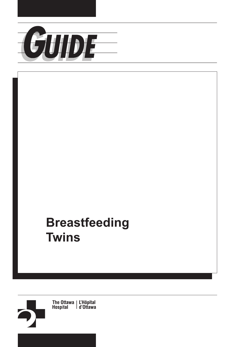

## **Breastfeeding Twins**

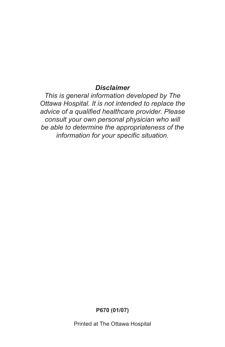#### *Disclaimer*

*This is general information developed by The Ottawa Hospital. It is not intended to replace the advice of a qualified healthcare provider. Please consult your own personal physician who will be able to determine the appropriateness of the information for your specific situation.* 

**P670 (01/07)** 

Printed at The Ottawa Hospital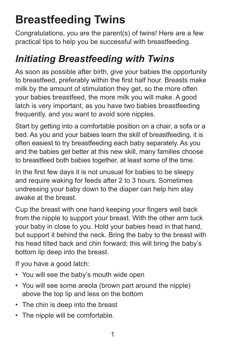# **Breastfeeding Twins**

Congratulations, you are the parent(s) of twins! Here are a few practical tips to help you be successful with breastfeeding.

## *Initiating Breastfeeding with Twins*

As soon as possible after birth, give your babies the opportunity to breastfeed, preferably within the first half hour. Breasts make milk by the amount of stimulation they get, so the more often your babies breastfeed, the more milk you will make. A good latch is very important, as you have two babies breastfeeding frequently, and you want to avoid sore nipples.

 Start by getting into a comfortable position on a chair, a sofa or a bed. As you and your babies learn the skill of breastfeeding, it is often easiest to try breastfeeding each baby separately. As you and the babies get better at this new skill, many families choose to breastfeed both babies together, at least some of the time.

In the first few days it is not unusual for babies to be sleepy and require waking for feeds after 2 to 3 hours. Sometimes undressing your baby down to the diaper can help him stay awake at the breast.

Cup the breast with one hand keeping your fingers well back from the nipple to support your breast. With the other arm tuck your baby in close to you. Hold your babies head in that hand, but support it behind the neck. Bring the baby to the breast with his head tilted back and chin forward; this will bring the baby's bottom lip deep into the breast.

If you have a good latch:

- You will see the baby's mouth wide open
- You will see some areola (brown part around the nipple) above the top lip and less on the bottom
- The chin is deep into the breast
- The nipple will be comfortable.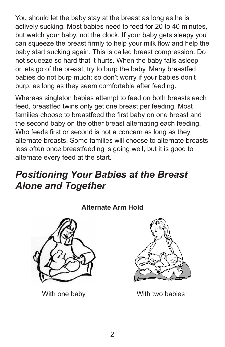You should let the baby stay at the breast as long as he is actively sucking. Most babies need to feed for 20 to 40 minutes, but watch your baby, not the clock. If your baby gets sleepy you can squeeze the breast firmly to help your milk flow and help the baby start sucking again. This is called breast compression. Do not squeeze so hard that it hurts. When the baby falls asleep or lets go of the breast, try to burp the baby. Many breastfed babies do not burp much; so don't worry if your babies don't burp, as long as they seem comfortable after feeding.

Whereas singleton babies attempt to feed on both breasts each feed, breastfed twins only get one breast per feeding. Most families choose to breastfeed the first baby on one breast and the second baby on the other breast alternating each feeding. Who feeds first or second is not a concern as long as they alternate breasts. Some families will choose to alternate breasts less often once breastfeeding is going well, but it is good to alternate every feed at the start.

### *Positioning Your Babies at the Breast Alone and Together*

#### **Alternate Arm Hold**





With one baby **With two babies**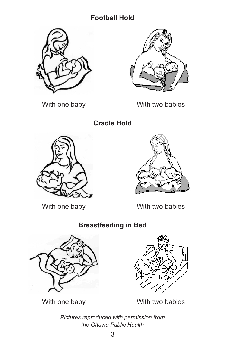#### **Football Hold**





With one baby With two babies

**Cradle Hold** 





With one baby With two babies

### **Breastfeeding in Bed**





With one baby With two babies

*Pictures reproduced with permission from the Ottawa Public Health*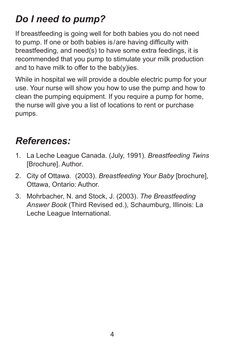## *Do I need to pump?*

If breastfeeding is going well for both babies you do not need to pump. If one or both babies is/are having difficulty with breastfeeding, and need(s) to have some extra feedings, it is recommended that you pump to stimulate your milk production and to have milk to offer to the bab(y)ies.

While in hospital we will provide a double electric pump for your use. Your nurse will show you how to use the pump and how to clean the pumping equipment. If you require a pump for home, the nurse will give you a list of locations to rent or purchase pumps.

### *References:*

- 1. La Leche League Canada. (July, 1991). *Breastfeeding Twins*  [Brochure]. Author.
- 2. City of Ottawa. (2003). *Breastfeeding Your Baby* [brochure], Ottawa, Ontario: Author.
- 3. Mohrbacher, N. and Stock, J. (2003). *The Breastfeeding Answer Book* (Third Revised ed.), Schaumburg, Illinois: La Leche League International.